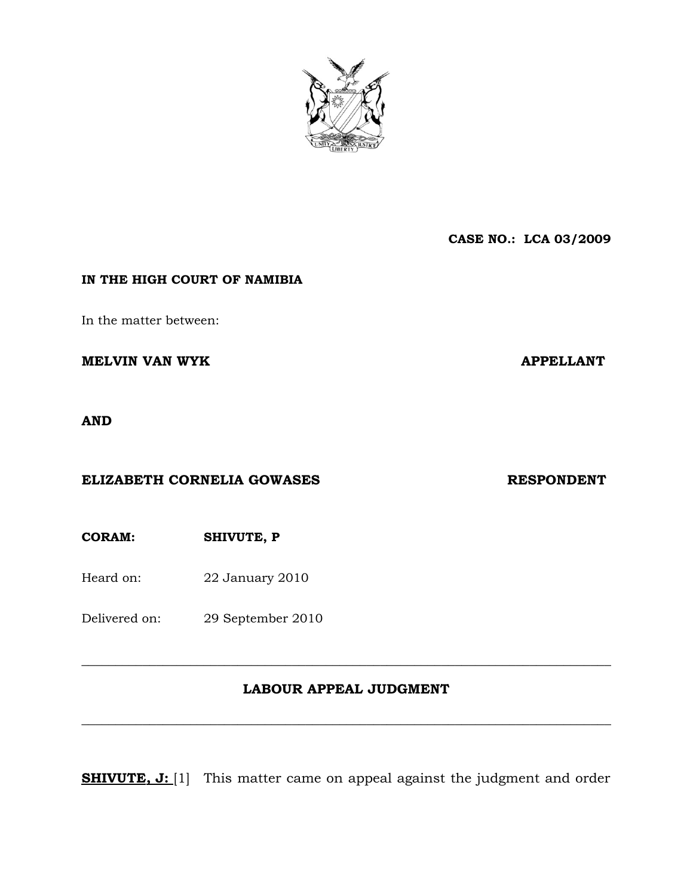

**CASE NO.: LCA 03/2009**

## **IN THE HIGH COURT OF NAMIBIA**

In the matter between:

**MELVIN VAN WYK** APPELLANT

**AND**

### **ELIZABETH CORNELIA GOWASES RESPONDENT**

**CORAM: SHIVUTE, P** 

Heard on: 22 January 2010

Delivered on: 29 September 2010

## **LABOUR APPEAL JUDGMENT**

**\_\_\_\_\_\_\_\_\_\_\_\_\_\_\_\_\_\_\_\_\_\_\_\_\_\_\_\_\_\_\_\_\_\_\_\_\_\_\_\_\_\_\_\_\_\_\_\_\_\_\_\_\_\_\_\_\_\_\_\_\_\_\_\_\_\_\_\_\_\_\_\_\_\_\_\_\_\_**

**\_\_\_\_\_\_\_\_\_\_\_\_\_\_\_\_\_\_\_\_\_\_\_\_\_\_\_\_\_\_\_\_\_\_\_\_\_\_\_\_\_\_\_\_\_\_\_\_\_\_\_\_\_\_\_\_\_\_\_\_\_\_\_\_\_\_\_\_\_\_\_\_\_\_\_\_\_\_**

**SHIVUTE, J:** [1] This matter came on appeal against the judgment and order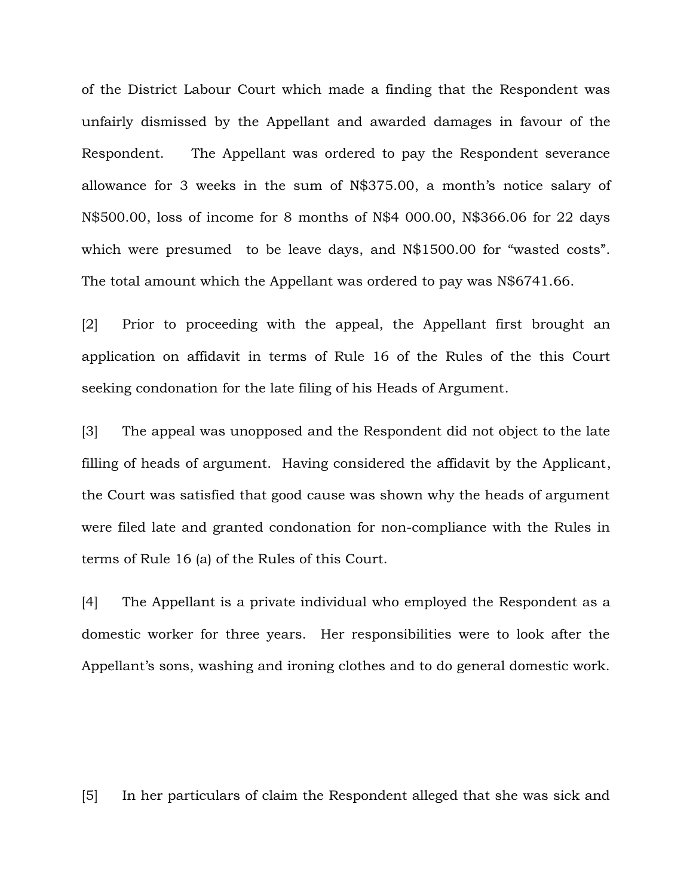of the District Labour Court which made a finding that the Respondent was unfairly dismissed by the Appellant and awarded damages in favour of the Respondent. The Appellant was ordered to pay the Respondent severance allowance for 3 weeks in the sum of N\$375.00, a month's notice salary of N\$500.00, loss of income for 8 months of N\$4 000.00, N\$366.06 for 22 days which were presumed to be leave days, and N\$1500.00 for "wasted costs". The total amount which the Appellant was ordered to pay was N\$6741.66.

[2] Prior to proceeding with the appeal, the Appellant first brought an application on affidavit in terms of Rule 16 of the Rules of the this Court seeking condonation for the late filing of his Heads of Argument.

[3] The appeal was unopposed and the Respondent did not object to the late filling of heads of argument. Having considered the affidavit by the Applicant, the Court was satisfied that good cause was shown why the heads of argument were filed late and granted condonation for non-compliance with the Rules in terms of Rule 16 (a) of the Rules of this Court.

[4] The Appellant is a private individual who employed the Respondent as a domestic worker for three years. Her responsibilities were to look after the Appellant's sons, washing and ironing clothes and to do general domestic work.

[5] In her particulars of claim the Respondent alleged that she was sick and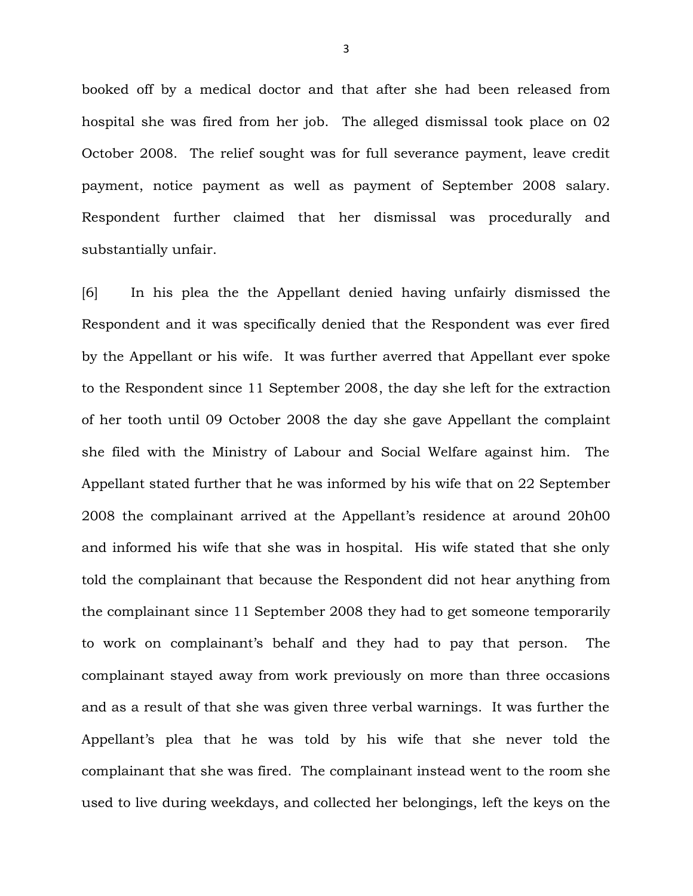booked off by a medical doctor and that after she had been released from hospital she was fired from her job. The alleged dismissal took place on 02 October 2008. The relief sought was for full severance payment, leave credit payment, notice payment as well as payment of September 2008 salary. Respondent further claimed that her dismissal was procedurally and substantially unfair.

[6] In his plea the the Appellant denied having unfairly dismissed the Respondent and it was specifically denied that the Respondent was ever fired by the Appellant or his wife. It was further averred that Appellant ever spoke to the Respondent since 11 September 2008, the day she left for the extraction of her tooth until 09 October 2008 the day she gave Appellant the complaint she filed with the Ministry of Labour and Social Welfare against him. The Appellant stated further that he was informed by his wife that on 22 September 2008 the complainant arrived at the Appellant's residence at around 20h00 and informed his wife that she was in hospital. His wife stated that she only told the complainant that because the Respondent did not hear anything from the complainant since 11 September 2008 they had to get someone temporarily to work on complainant's behalf and they had to pay that person. The complainant stayed away from work previously on more than three occasions and as a result of that she was given three verbal warnings. It was further the Appellant's plea that he was told by his wife that she never told the complainant that she was fired. The complainant instead went to the room she used to live during weekdays, and collected her belongings, left the keys on the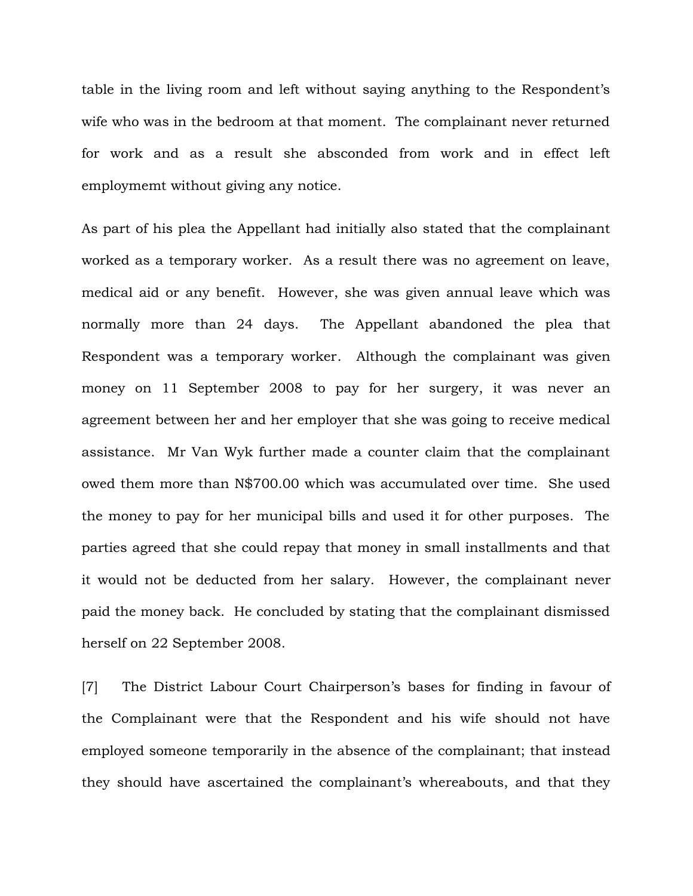table in the living room and left without saying anything to the Respondent's wife who was in the bedroom at that moment. The complainant never returned for work and as a result she absconded from work and in effect left employmemt without giving any notice.

As part of his plea the Appellant had initially also stated that the complainant worked as a temporary worker. As a result there was no agreement on leave, medical aid or any benefit. However, she was given annual leave which was normally more than 24 days. The Appellant abandoned the plea that Respondent was a temporary worker. Although the complainant was given money on 11 September 2008 to pay for her surgery, it was never an agreement between her and her employer that she was going to receive medical assistance. Mr Van Wyk further made a counter claim that the complainant owed them more than N\$700.00 which was accumulated over time. She used the money to pay for her municipal bills and used it for other purposes. The parties agreed that she could repay that money in small installments and that it would not be deducted from her salary. However, the complainant never paid the money back. He concluded by stating that the complainant dismissed herself on 22 September 2008.

[7] The District Labour Court Chairperson's bases for finding in favour of the Complainant were that the Respondent and his wife should not have employed someone temporarily in the absence of the complainant; that instead they should have ascertained the complainant's whereabouts, and that they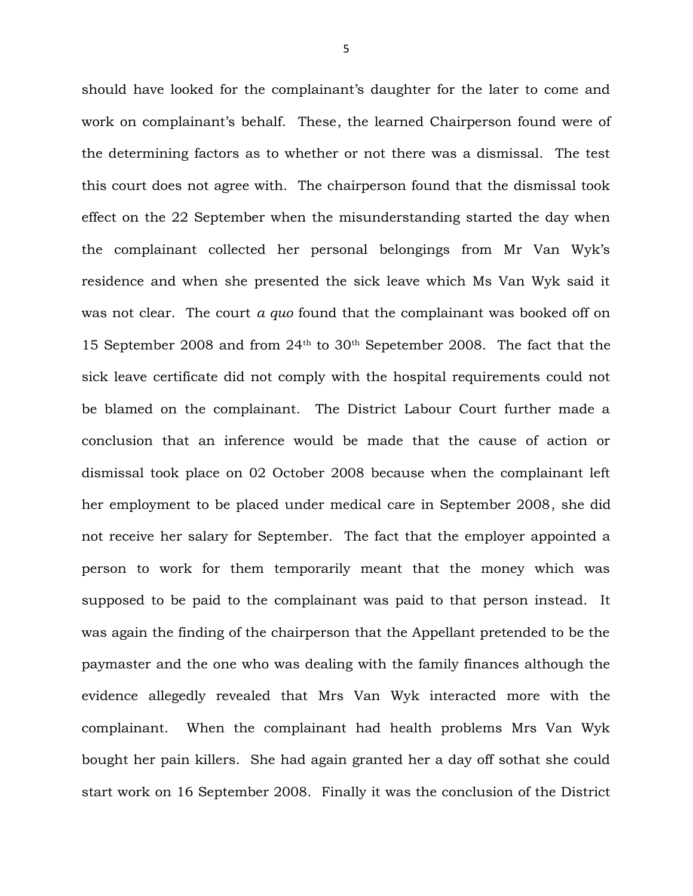should have looked for the complainant's daughter for the later to come and work on complainant's behalf. These, the learned Chairperson found were of the determining factors as to whether or not there was a dismissal. The test this court does not agree with. The chairperson found that the dismissal took effect on the 22 September when the misunderstanding started the day when the complainant collected her personal belongings from Mr Van Wyk's residence and when she presented the sick leave which Ms Van Wyk said it was not clear. The court *a quo* found that the complainant was booked off on 15 September 2008 and from 24th to 30th Sepetember 2008. The fact that the sick leave certificate did not comply with the hospital requirements could not be blamed on the complainant. The District Labour Court further made a conclusion that an inference would be made that the cause of action or dismissal took place on 02 October 2008 because when the complainant left her employment to be placed under medical care in September 2008, she did not receive her salary for September. The fact that the employer appointed a person to work for them temporarily meant that the money which was supposed to be paid to the complainant was paid to that person instead. It was again the finding of the chairperson that the Appellant pretended to be the paymaster and the one who was dealing with the family finances although the evidence allegedly revealed that Mrs Van Wyk interacted more with the complainant. When the complainant had health problems Mrs Van Wyk bought her pain killers. She had again granted her a day off sothat she could start work on 16 September 2008. Finally it was the conclusion of the District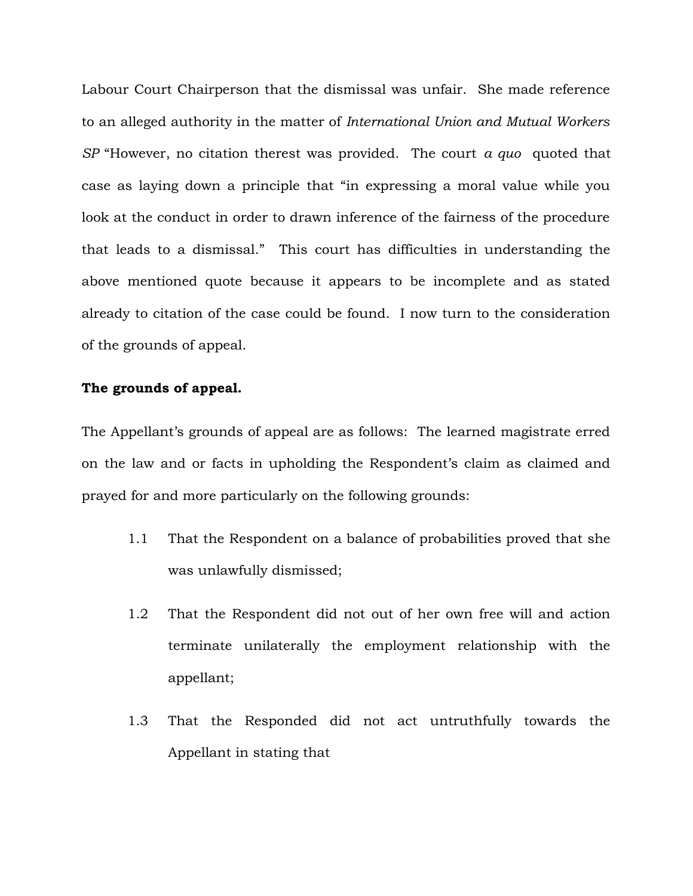Labour Court Chairperson that the dismissal was unfair. She made reference to an alleged authority in the matter of *International Union and Mutual Workers SP* "However, no citation therest was provided. The court *a quo* quoted that case as laying down a principle that "in expressing a moral value while you look at the conduct in order to drawn inference of the fairness of the procedure that leads to a dismissal." This court has difficulties in understanding the above mentioned quote because it appears to be incomplete and as stated already to citation of the case could be found. I now turn to the consideration of the grounds of appeal.

#### **The grounds of appeal.**

The Appellant's grounds of appeal are as follows: The learned magistrate erred on the law and or facts in upholding the Respondent's claim as claimed and prayed for and more particularly on the following grounds:

- 1.1 That the Respondent on a balance of probabilities proved that she was unlawfully dismissed;
- 1.2 That the Respondent did not out of her own free will and action terminate unilaterally the employment relationship with the appellant;
- 1.3 That the Responded did not act untruthfully towards the Appellant in stating that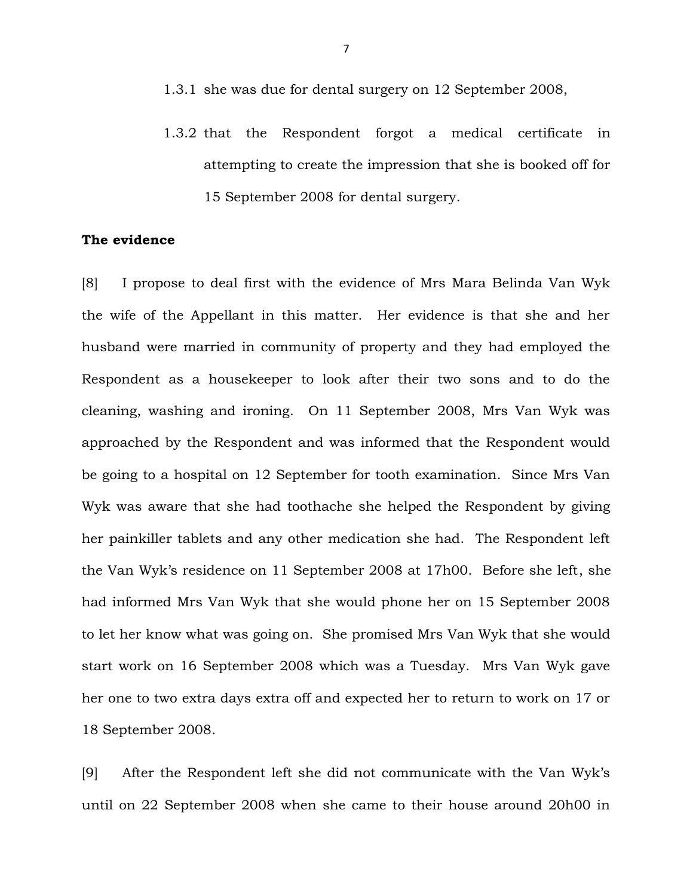- 1.3.1 she was due for dental surgery on 12 September 2008,
- 1.3.2 that the Respondent forgot a medical certificate in attempting to create the impression that she is booked off for 15 September 2008 for dental surgery.

#### **The evidence**

[8] I propose to deal first with the evidence of Mrs Mara Belinda Van Wyk the wife of the Appellant in this matter. Her evidence is that she and her husband were married in community of property and they had employed the Respondent as a housekeeper to look after their two sons and to do the cleaning, washing and ironing. On 11 September 2008, Mrs Van Wyk was approached by the Respondent and was informed that the Respondent would be going to a hospital on 12 September for tooth examination. Since Mrs Van Wyk was aware that she had toothache she helped the Respondent by giving her painkiller tablets and any other medication she had. The Respondent left the Van Wyk's residence on 11 September 2008 at 17h00. Before she left, she had informed Mrs Van Wyk that she would phone her on 15 September 2008 to let her know what was going on. She promised Mrs Van Wyk that she would start work on 16 September 2008 which was a Tuesday. Mrs Van Wyk gave her one to two extra days extra off and expected her to return to work on 17 or 18 September 2008.

[9] After the Respondent left she did not communicate with the Van Wyk's until on 22 September 2008 when she came to their house around 20h00 in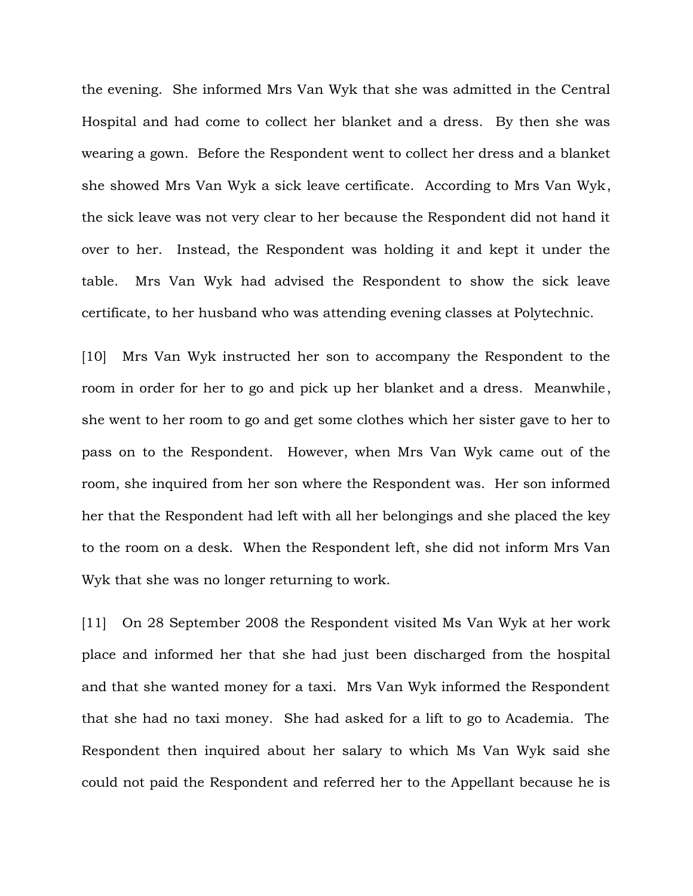the evening. She informed Mrs Van Wyk that she was admitted in the Central Hospital and had come to collect her blanket and a dress. By then she was wearing a gown. Before the Respondent went to collect her dress and a blanket she showed Mrs Van Wyk a sick leave certificate. According to Mrs Van Wyk, the sick leave was not very clear to her because the Respondent did not hand it over to her. Instead, the Respondent was holding it and kept it under the table. Mrs Van Wyk had advised the Respondent to show the sick leave certificate, to her husband who was attending evening classes at Polytechnic.

[10] Mrs Van Wyk instructed her son to accompany the Respondent to the room in order for her to go and pick up her blanket and a dress. Meanwhile, she went to her room to go and get some clothes which her sister gave to her to pass on to the Respondent. However, when Mrs Van Wyk came out of the room, she inquired from her son where the Respondent was. Her son informed her that the Respondent had left with all her belongings and she placed the key to the room on a desk. When the Respondent left, she did not inform Mrs Van Wyk that she was no longer returning to work.

[11] On 28 September 2008 the Respondent visited Ms Van Wyk at her work place and informed her that she had just been discharged from the hospital and that she wanted money for a taxi. Mrs Van Wyk informed the Respondent that she had no taxi money. She had asked for a lift to go to Academia. The Respondent then inquired about her salary to which Ms Van Wyk said she could not paid the Respondent and referred her to the Appellant because he is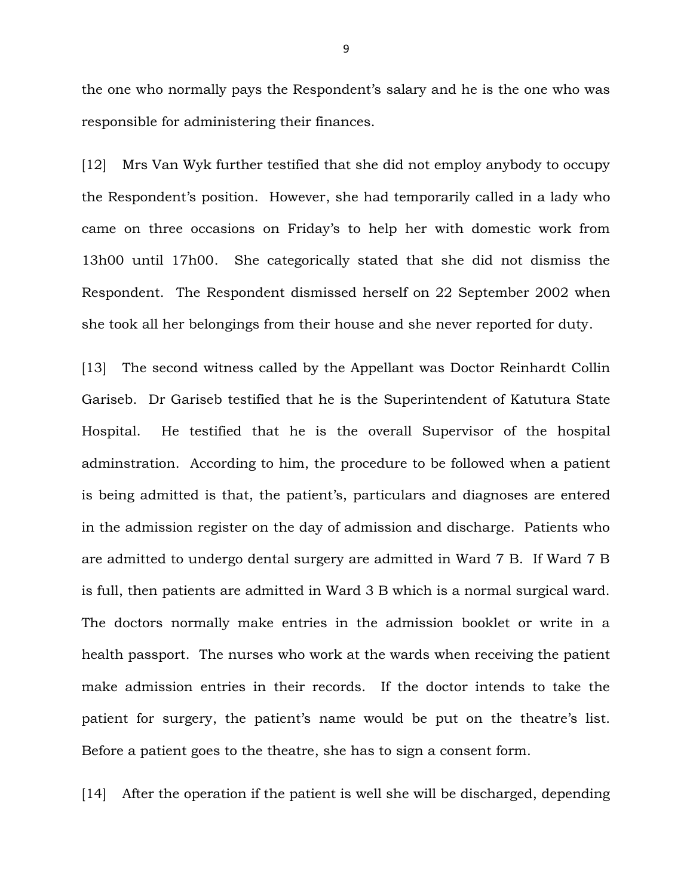the one who normally pays the Respondent's salary and he is the one who was responsible for administering their finances.

[12] Mrs Van Wyk further testified that she did not employ anybody to occupy the Respondent's position. However, she had temporarily called in a lady who came on three occasions on Friday's to help her with domestic work from 13h00 until 17h00. She categorically stated that she did not dismiss the Respondent. The Respondent dismissed herself on 22 September 2002 when she took all her belongings from their house and she never reported for duty.

[13] The second witness called by the Appellant was Doctor Reinhardt Collin Gariseb. Dr Gariseb testified that he is the Superintendent of Katutura State Hospital. He testified that he is the overall Supervisor of the hospital adminstration. According to him, the procedure to be followed when a patient is being admitted is that, the patient's, particulars and diagnoses are entered in the admission register on the day of admission and discharge. Patients who are admitted to undergo dental surgery are admitted in Ward 7 B. If Ward 7 B is full, then patients are admitted in Ward 3 B which is a normal surgical ward. The doctors normally make entries in the admission booklet or write in a health passport. The nurses who work at the wards when receiving the patient make admission entries in their records. If the doctor intends to take the patient for surgery, the patient's name would be put on the theatre's list. Before a patient goes to the theatre, she has to sign a consent form.

[14] After the operation if the patient is well she will be discharged, depending

9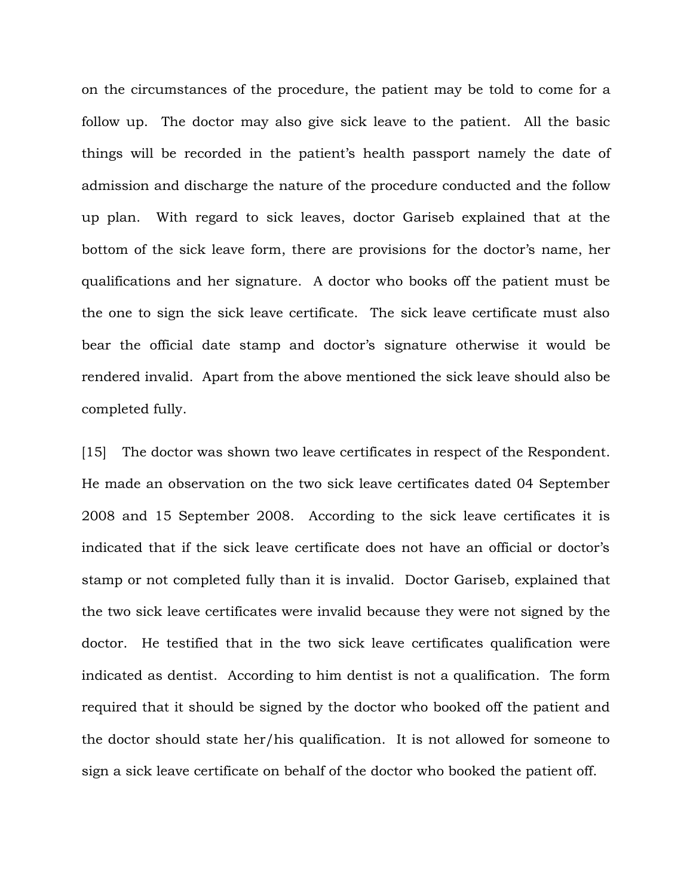on the circumstances of the procedure, the patient may be told to come for a follow up. The doctor may also give sick leave to the patient. All the basic things will be recorded in the patient's health passport namely the date of admission and discharge the nature of the procedure conducted and the follow up plan. With regard to sick leaves, doctor Gariseb explained that at the bottom of the sick leave form, there are provisions for the doctor's name, her qualifications and her signature. A doctor who books off the patient must be the one to sign the sick leave certificate. The sick leave certificate must also bear the official date stamp and doctor's signature otherwise it would be rendered invalid. Apart from the above mentioned the sick leave should also be completed fully.

[15] The doctor was shown two leave certificates in respect of the Respondent. He made an observation on the two sick leave certificates dated 04 September 2008 and 15 September 2008. According to the sick leave certificates it is indicated that if the sick leave certificate does not have an official or doctor's stamp or not completed fully than it is invalid. Doctor Gariseb, explained that the two sick leave certificates were invalid because they were not signed by the doctor. He testified that in the two sick leave certificates qualification were indicated as dentist. According to him dentist is not a qualification. The form required that it should be signed by the doctor who booked off the patient and the doctor should state her/his qualification. It is not allowed for someone to sign a sick leave certificate on behalf of the doctor who booked the patient off.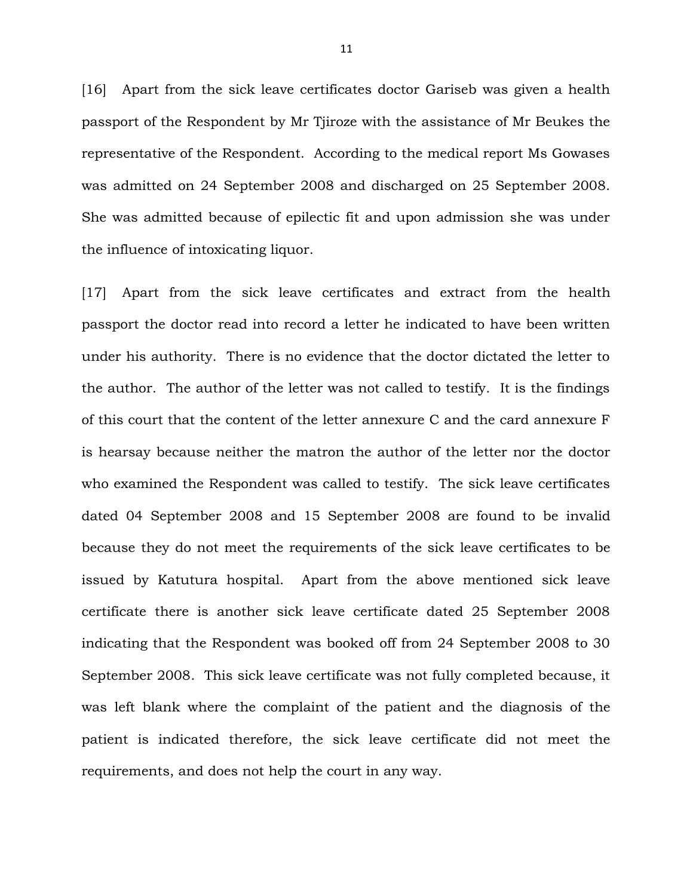[16] Apart from the sick leave certificates doctor Gariseb was given a health passport of the Respondent by Mr Tjiroze with the assistance of Mr Beukes the representative of the Respondent. According to the medical report Ms Gowases was admitted on 24 September 2008 and discharged on 25 September 2008. She was admitted because of epilectic fit and upon admission she was under the influence of intoxicating liquor.

[17] Apart from the sick leave certificates and extract from the health passport the doctor read into record a letter he indicated to have been written under his authority. There is no evidence that the doctor dictated the letter to the author. The author of the letter was not called to testify. It is the findings of this court that the content of the letter annexure C and the card annexure F is hearsay because neither the matron the author of the letter nor the doctor who examined the Respondent was called to testify. The sick leave certificates dated 04 September 2008 and 15 September 2008 are found to be invalid because they do not meet the requirements of the sick leave certificates to be issued by Katutura hospital. Apart from the above mentioned sick leave certificate there is another sick leave certificate dated 25 September 2008 indicating that the Respondent was booked off from 24 September 2008 to 30 September 2008. This sick leave certificate was not fully completed because, it was left blank where the complaint of the patient and the diagnosis of the patient is indicated therefore, the sick leave certificate did not meet the requirements, and does not help the court in any way.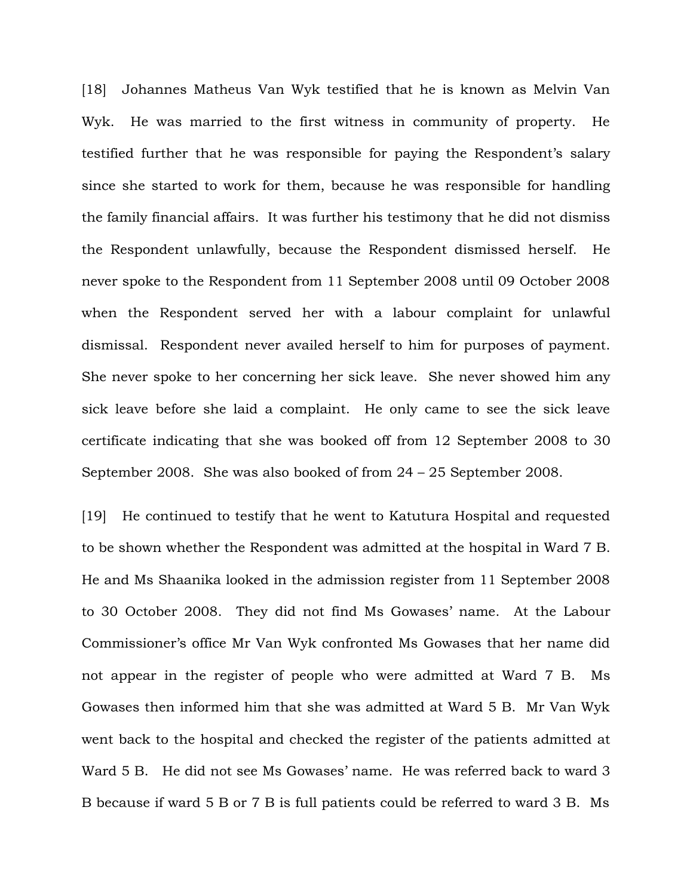[18] Johannes Matheus Van Wyk testified that he is known as Melvin Van Wyk. He was married to the first witness in community of property. He testified further that he was responsible for paying the Respondent's salary since she started to work for them, because he was responsible for handling the family financial affairs. It was further his testimony that he did not dismiss the Respondent unlawfully, because the Respondent dismissed herself. He never spoke to the Respondent from 11 September 2008 until 09 October 2008 when the Respondent served her with a labour complaint for unlawful dismissal. Respondent never availed herself to him for purposes of payment. She never spoke to her concerning her sick leave. She never showed him any sick leave before she laid a complaint. He only came to see the sick leave certificate indicating that she was booked off from 12 September 2008 to 30 September 2008. She was also booked of from 24 – 25 September 2008.

[19] He continued to testify that he went to Katutura Hospital and requested to be shown whether the Respondent was admitted at the hospital in Ward 7 B. He and Ms Shaanika looked in the admission register from 11 September 2008 to 30 October 2008. They did not find Ms Gowases' name. At the Labour Commissioner's office Mr Van Wyk confronted Ms Gowases that her name did not appear in the register of people who were admitted at Ward 7 B. Ms Gowases then informed him that she was admitted at Ward 5 B. Mr Van Wyk went back to the hospital and checked the register of the patients admitted at Ward 5 B. He did not see Ms Gowases' name. He was referred back to ward 3 B because if ward 5 B or 7 B is full patients could be referred to ward 3 B. Ms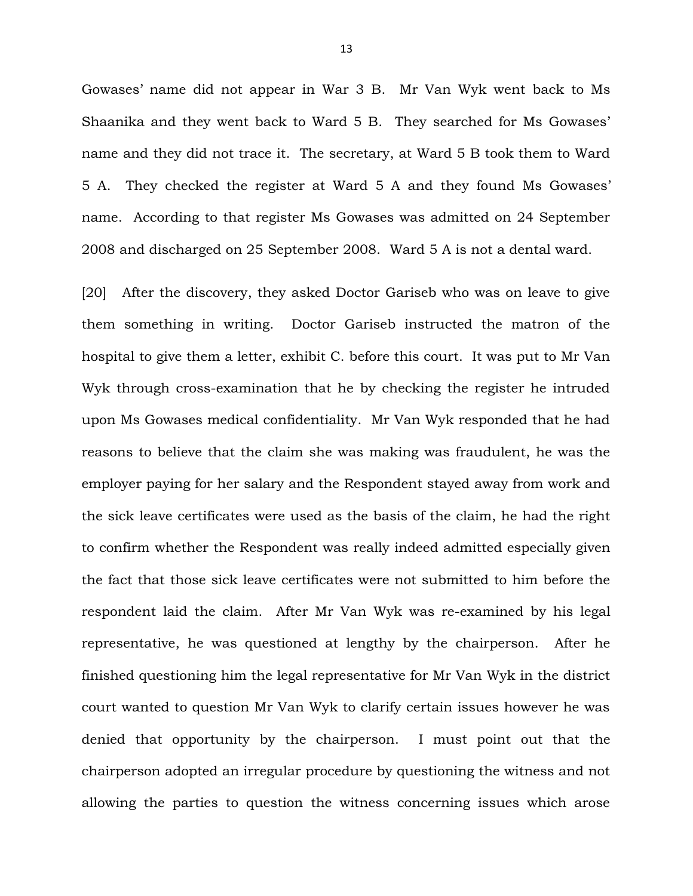Gowases' name did not appear in War 3 B. Mr Van Wyk went back to Ms Shaanika and they went back to Ward 5 B. They searched for Ms Gowases' name and they did not trace it. The secretary, at Ward 5 B took them to Ward 5 A. They checked the register at Ward 5 A and they found Ms Gowases' name. According to that register Ms Gowases was admitted on 24 September 2008 and discharged on 25 September 2008. Ward 5 A is not a dental ward.

[20] After the discovery, they asked Doctor Gariseb who was on leave to give them something in writing. Doctor Gariseb instructed the matron of the hospital to give them a letter, exhibit C. before this court. It was put to Mr Van Wyk through cross-examination that he by checking the register he intruded upon Ms Gowases medical confidentiality. Mr Van Wyk responded that he had reasons to believe that the claim she was making was fraudulent, he was the employer paying for her salary and the Respondent stayed away from work and the sick leave certificates were used as the basis of the claim, he had the right to confirm whether the Respondent was really indeed admitted especially given the fact that those sick leave certificates were not submitted to him before the respondent laid the claim. After Mr Van Wyk was re-examined by his legal representative, he was questioned at lengthy by the chairperson. After he finished questioning him the legal representative for Mr Van Wyk in the district court wanted to question Mr Van Wyk to clarify certain issues however he was denied that opportunity by the chairperson. I must point out that the chairperson adopted an irregular procedure by questioning the witness and not allowing the parties to question the witness concerning issues which arose

13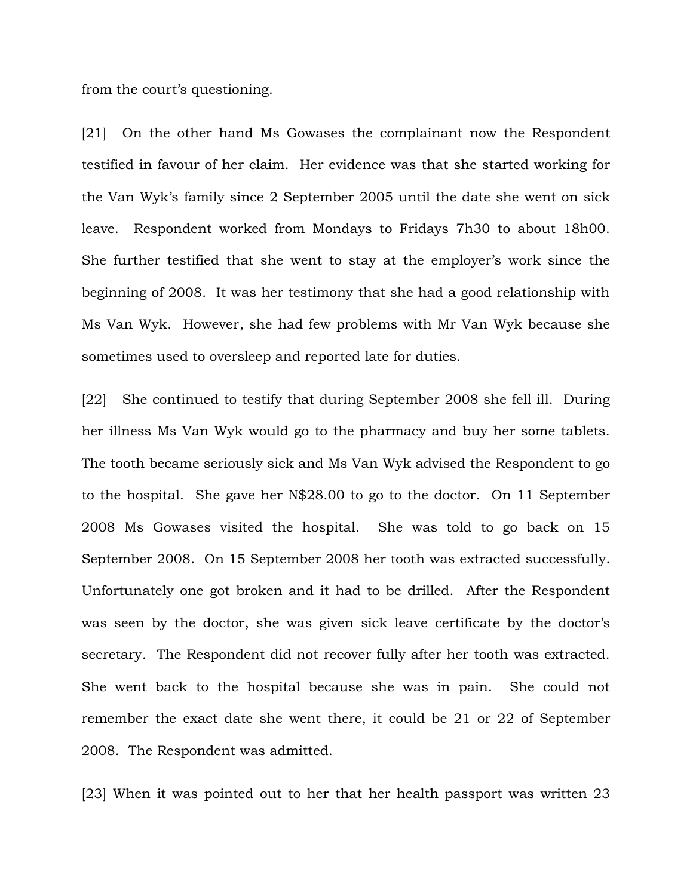from the court's questioning.

[21] On the other hand Ms Gowases the complainant now the Respondent testified in favour of her claim. Her evidence was that she started working for the Van Wyk's family since 2 September 2005 until the date she went on sick leave. Respondent worked from Mondays to Fridays 7h30 to about 18h00. She further testified that she went to stay at the employer's work since the beginning of 2008. It was her testimony that she had a good relationship with Ms Van Wyk. However, she had few problems with Mr Van Wyk because she sometimes used to oversleep and reported late for duties.

[22] She continued to testify that during September 2008 she fell ill. During her illness Ms Van Wyk would go to the pharmacy and buy her some tablets. The tooth became seriously sick and Ms Van Wyk advised the Respondent to go to the hospital. She gave her N\$28.00 to go to the doctor. On 11 September 2008 Ms Gowases visited the hospital. She was told to go back on 15 September 2008. On 15 September 2008 her tooth was extracted successfully. Unfortunately one got broken and it had to be drilled. After the Respondent was seen by the doctor, she was given sick leave certificate by the doctor's secretary. The Respondent did not recover fully after her tooth was extracted. She went back to the hospital because she was in pain. She could not remember the exact date she went there, it could be 21 or 22 of September 2008. The Respondent was admitted.

[23] When it was pointed out to her that her health passport was written 23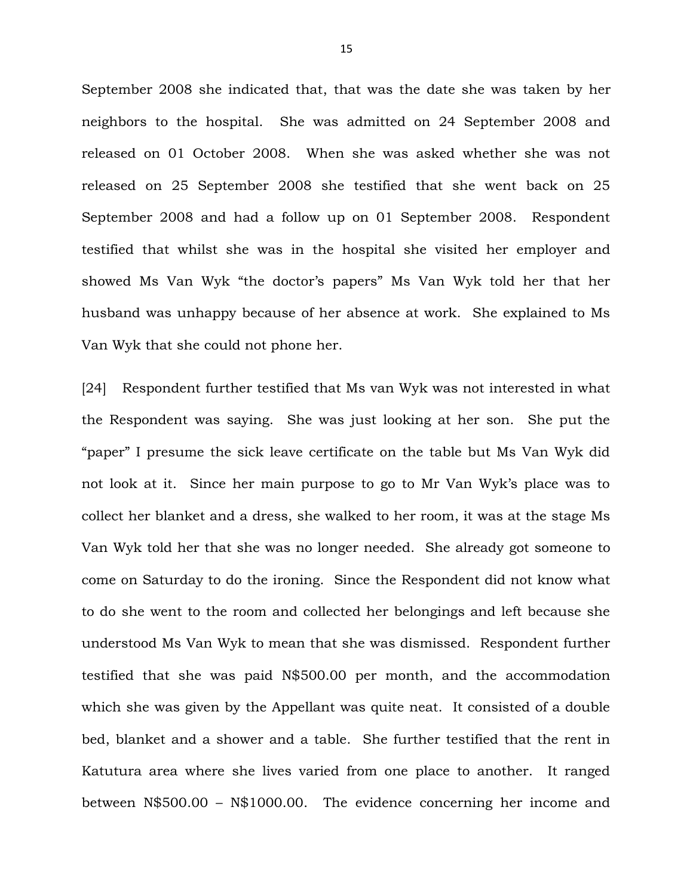September 2008 she indicated that, that was the date she was taken by her neighbors to the hospital. She was admitted on 24 September 2008 and released on 01 October 2008. When she was asked whether she was not released on 25 September 2008 she testified that she went back on 25 September 2008 and had a follow up on 01 September 2008. Respondent testified that whilst she was in the hospital she visited her employer and showed Ms Van Wyk "the doctor's papers" Ms Van Wyk told her that her husband was unhappy because of her absence at work. She explained to Ms Van Wyk that she could not phone her.

[24] Respondent further testified that Ms van Wyk was not interested in what the Respondent was saying. She was just looking at her son. She put the "paper" I presume the sick leave certificate on the table but Ms Van Wyk did not look at it. Since her main purpose to go to Mr Van Wyk's place was to collect her blanket and a dress, she walked to her room, it was at the stage Ms Van Wyk told her that she was no longer needed. She already got someone to come on Saturday to do the ironing. Since the Respondent did not know what to do she went to the room and collected her belongings and left because she understood Ms Van Wyk to mean that she was dismissed. Respondent further testified that she was paid N\$500.00 per month, and the accommodation which she was given by the Appellant was quite neat. It consisted of a double bed, blanket and a shower and a table. She further testified that the rent in Katutura area where she lives varied from one place to another. It ranged between N\$500.00 – N\$1000.00. The evidence concerning her income and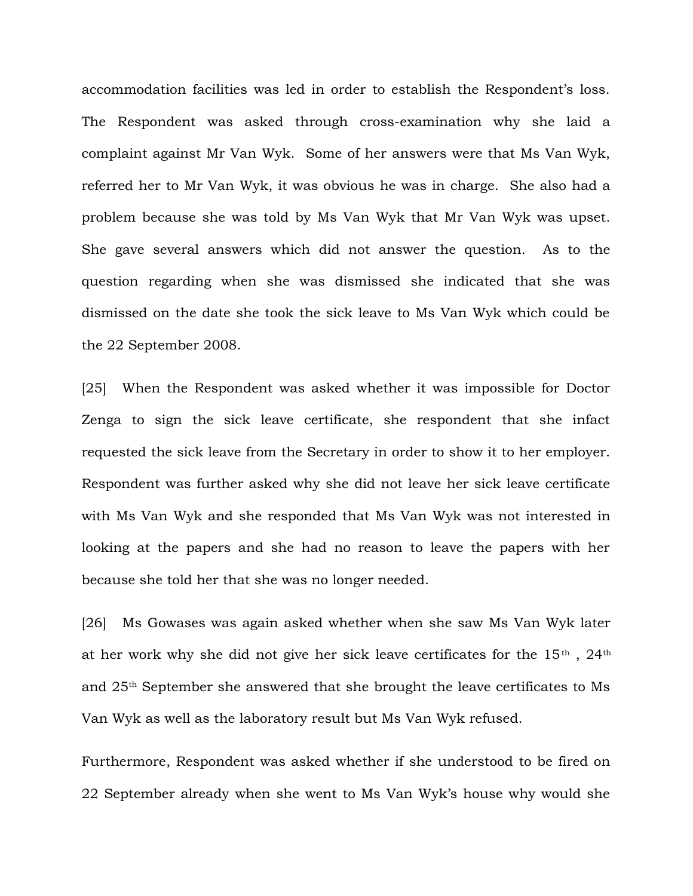accommodation facilities was led in order to establish the Respondent's loss. The Respondent was asked through cross-examination why she laid a complaint against Mr Van Wyk. Some of her answers were that Ms Van Wyk, referred her to Mr Van Wyk, it was obvious he was in charge. She also had a problem because she was told by Ms Van Wyk that Mr Van Wyk was upset. She gave several answers which did not answer the question. As to the question regarding when she was dismissed she indicated that she was dismissed on the date she took the sick leave to Ms Van Wyk which could be the 22 September 2008.

[25] When the Respondent was asked whether it was impossible for Doctor Zenga to sign the sick leave certificate, she respondent that she infact requested the sick leave from the Secretary in order to show it to her employer. Respondent was further asked why she did not leave her sick leave certificate with Ms Van Wyk and she responded that Ms Van Wyk was not interested in looking at the papers and she had no reason to leave the papers with her because she told her that she was no longer needed.

[26] Ms Gowases was again asked whether when she saw Ms Van Wyk later at her work why she did not give her sick leave certificates for the  $15<sup>th</sup>$ ,  $24<sup>th</sup>$ and 25th September she answered that she brought the leave certificates to Ms Van Wyk as well as the laboratory result but Ms Van Wyk refused.

Furthermore, Respondent was asked whether if she understood to be fired on 22 September already when she went to Ms Van Wyk's house why would she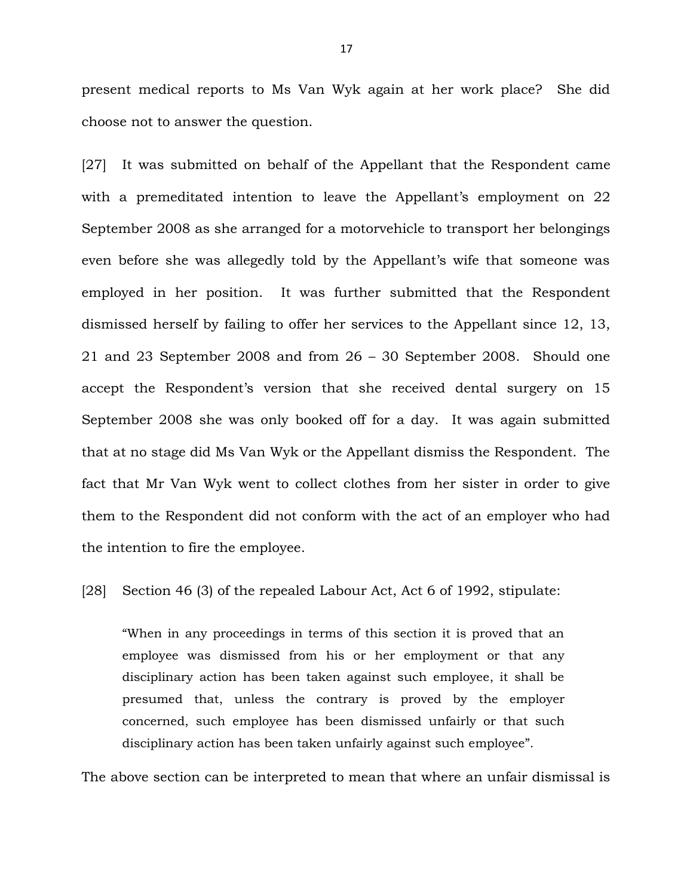present medical reports to Ms Van Wyk again at her work place? She did choose not to answer the question.

[27] It was submitted on behalf of the Appellant that the Respondent came with a premeditated intention to leave the Appellant's employment on 22 September 2008 as she arranged for a motorvehicle to transport her belongings even before she was allegedly told by the Appellant's wife that someone was employed in her position. It was further submitted that the Respondent dismissed herself by failing to offer her services to the Appellant since 12, 13, 21 and 23 September 2008 and from 26 – 30 September 2008. Should one accept the Respondent's version that she received dental surgery on 15 September 2008 she was only booked off for a day. It was again submitted that at no stage did Ms Van Wyk or the Appellant dismiss the Respondent. The fact that Mr Van Wyk went to collect clothes from her sister in order to give them to the Respondent did not conform with the act of an employer who had the intention to fire the employee.

[28] Section 46 (3) of the repealed Labour Act, Act 6 of 1992, stipulate:

"When in any proceedings in terms of this section it is proved that an employee was dismissed from his or her employment or that any disciplinary action has been taken against such employee, it shall be presumed that, unless the contrary is proved by the employer concerned, such employee has been dismissed unfairly or that such disciplinary action has been taken unfairly against such employee".

The above section can be interpreted to mean that where an unfair dismissal is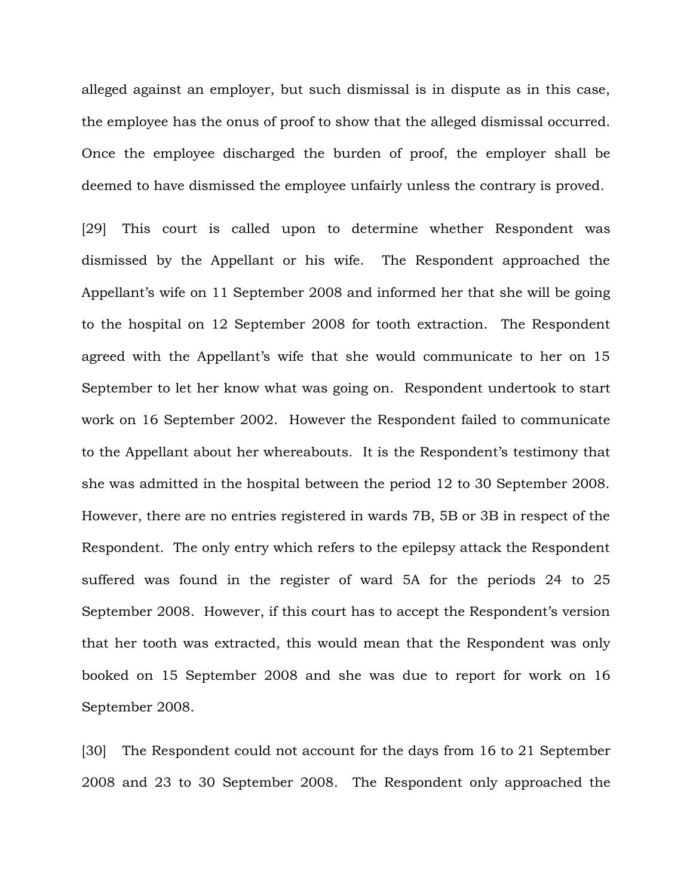alleged against an employer, but such dismissal is in dispute as in this case, the employee has the onus of proof to show that the alleged dismissal occurred. Once the employee discharged the burden of proof, the employer shall be deemed to have dismissed the employee unfairly unless the contrary is proved.

[29] This court is called upon to determine whether Respondent was dismissed by the Appellant or his wife. The Respondent approached the Appellant's wife on 11 September 2008 and informed her that she will be going to the hospital on 12 September 2008 for tooth extraction. The Respondent agreed with the Appellant's wife that she would communicate to her on 15 September to let her know what was going on. Respondent undertook to start work on 16 September 2002. However the Respondent failed to communicate to the Appellant about her whereabouts. It is the Respondent's testimony that she was admitted in the hospital between the period 12 to 30 September 2008. However, there are no entries registered in wards 7B, 5B or 3B in respect of the Respondent. The only entry which refers to the epilepsy attack the Respondent suffered was found in the register of ward 5A for the periods 24 to 25 September 2008. However, if this court has to accept the Respondent's version that her tooth was extracted, this would mean that the Respondent was only booked on 15 September 2008 and she was due to report for work on 16 September 2008.

[30] The Respondent could not account for the days from 16 to 21 September 2008 and 23 to 30 September 2008. The Respondent only approached the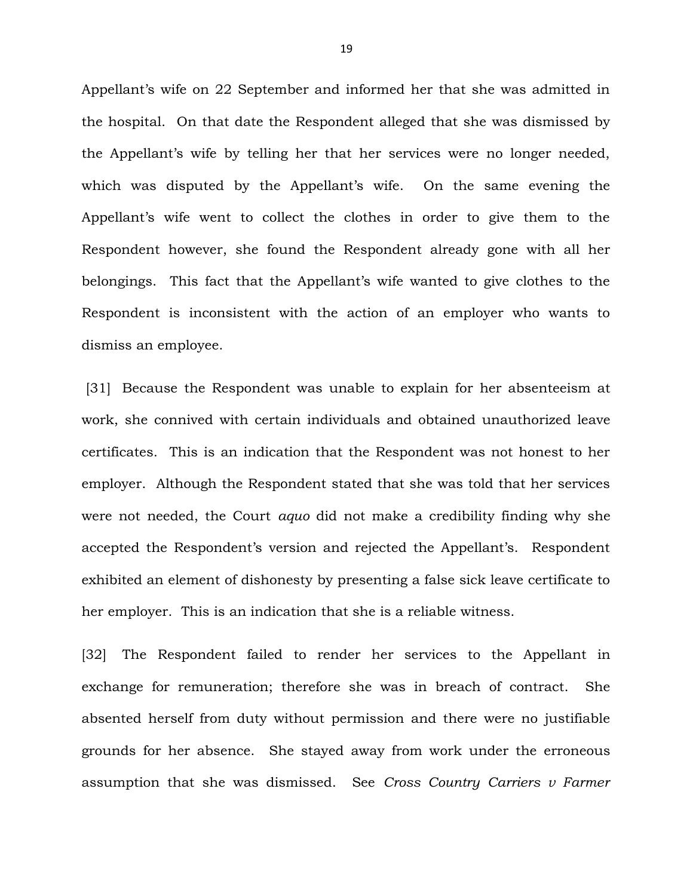Appellant's wife on 22 September and informed her that she was admitted in the hospital. On that date the Respondent alleged that she was dismissed by the Appellant's wife by telling her that her services were no longer needed, which was disputed by the Appellant's wife. On the same evening the Appellant's wife went to collect the clothes in order to give them to the Respondent however, she found the Respondent already gone with all her belongings. This fact that the Appellant's wife wanted to give clothes to the Respondent is inconsistent with the action of an employer who wants to dismiss an employee.

 [31] Because the Respondent was unable to explain for her absenteeism at work, she connived with certain individuals and obtained unauthorized leave certificates. This is an indication that the Respondent was not honest to her employer. Although the Respondent stated that she was told that her services were not needed, the Court *aquo* did not make a credibility finding why she accepted the Respondent's version and rejected the Appellant's. Respondent exhibited an element of dishonesty by presenting a false sick leave certificate to her employer. This is an indication that she is a reliable witness.

[32] The Respondent failed to render her services to the Appellant in exchange for remuneration; therefore she was in breach of contract. She absented herself from duty without permission and there were no justifiable grounds for her absence. She stayed away from work under the erroneous assumption that she was dismissed. See *Cross Country Carriers v Farmer*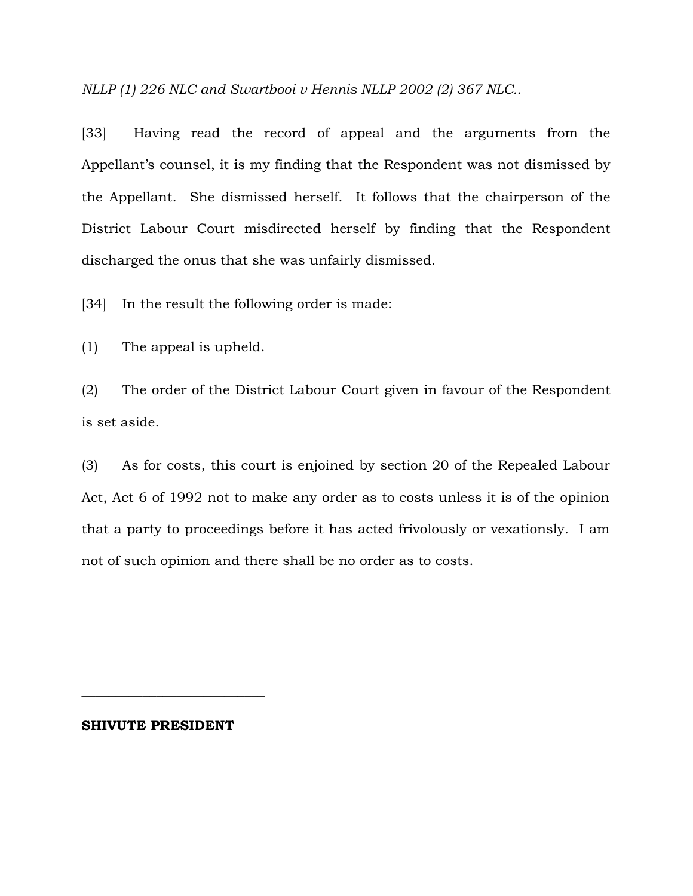*NLLP (1) 226 NLC and Swartbooi v Hennis NLLP 2002 (2) 367 NLC..*

[33] Having read the record of appeal and the arguments from the Appellant's counsel, it is my finding that the Respondent was not dismissed by the Appellant. She dismissed herself. It follows that the chairperson of the District Labour Court misdirected herself by finding that the Respondent discharged the onus that she was unfairly dismissed.

[34] In the result the following order is made:

(1) The appeal is upheld.

(2) The order of the District Labour Court given in favour of the Respondent is set aside.

(3) As for costs, this court is enjoined by section 20 of the Repealed Labour Act, Act 6 of 1992 not to make any order as to costs unless it is of the opinion that a party to proceedings before it has acted frivolously or vexationsly. I am not of such opinion and there shall be no order as to costs.

#### **SHIVUTE PRESIDENT**

**\_\_\_\_\_\_\_\_\_\_\_\_\_\_\_\_\_\_\_\_\_\_\_\_\_\_\_**